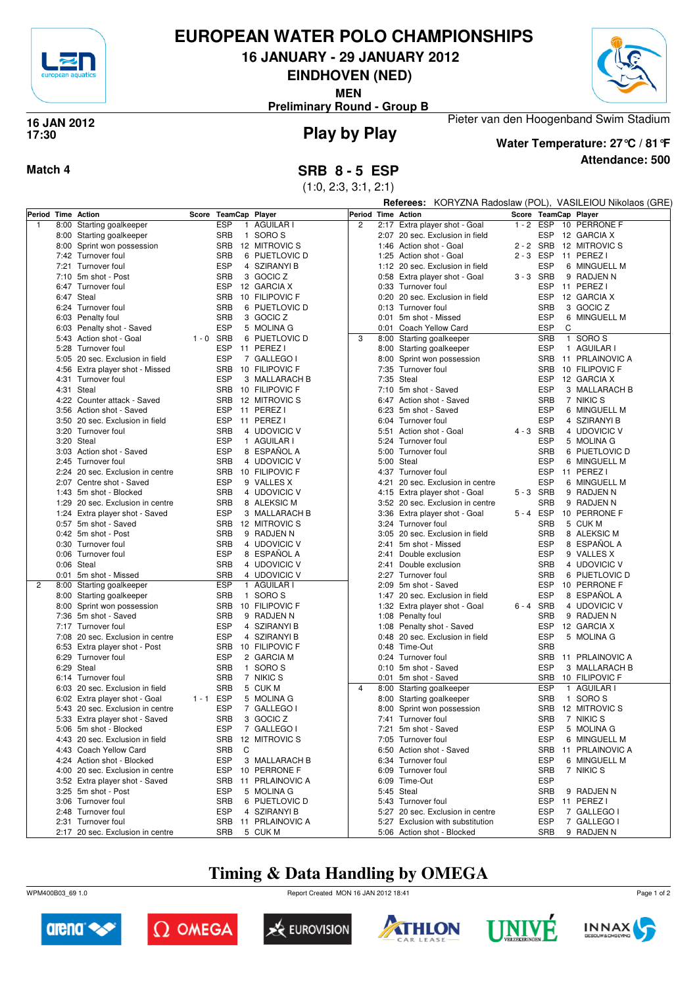

## **EUROPEAN WATER POLO CHAMPIONSHIPS**

**16 JANUARY - 29 JANUARY 2012**

**EINDHOVEN (NED)**

**MEN**

**Preliminary Round - Group B**



#### **Play by Play 16 JAN 2012 17:30**



#### **Attendance: 500 Water Temperature: 27°C / 81°F**

Pieter van den Hoogenband Swim Stadium

#### **Match 4 SRB 8 - 5 ESP**

(1:0, 2:3, 3:1, 2:1)

**Referees:** KORYZNA Radoslaw (POL), VASILEIOU Nikolaos (GRE)

| Period Time Action |                                  |             | Score TeamCap Player       |                   |                |      | Period Time Action                                  |             | Score TeamCap Player |                 |
|--------------------|----------------------------------|-------------|----------------------------|-------------------|----------------|------|-----------------------------------------------------|-------------|----------------------|-----------------|
| $\mathbf{1}$       | 8:00 Starting goalkeeper         |             | <b>ESP</b><br>$\mathbf{1}$ | AGUILAR I         | $\overline{c}$ |      | 2:17 Extra player shot - Goal                       | $1 - 2$     | ESP                  | 10 PERRONE F    |
|                    | 8:00 Starting goalkeeper         |             | <b>SRB</b>                 | 1 SORO S          |                |      | 2:07 20 sec. Exclusion in field                     |             | ESP                  | 12 GARCIA X     |
|                    | 8:00 Sprint won possession       |             | <b>SRB</b>                 | 12 MITROVIC S     |                |      | 1:46 Action shot - Goal                             | 2 - 2       | SRB                  | 12 MITROVIC S   |
|                    | 7:42 Turnover foul               |             | <b>SRB</b>                 | 6 PIJETLOVIC D    |                |      | 1:25 Action shot - Goal                             | $2 - 3$ ESP |                      | 11 PEREZ I      |
|                    | 7:21 Turnover foul               |             | <b>ESP</b>                 | 4 SZIRANYI B      |                |      | 1:12 20 sec. Exclusion in field                     |             | <b>ESP</b>           | 6 MINGUELL M    |
|                    | 7:10 5m shot - Post              |             | <b>SRB</b>                 | 3 GOCIC Z         |                |      |                                                     | 3-3 SRB     |                      | 9 RADJEN N      |
|                    |                                  |             |                            |                   |                |      | 0:58 Extra player shot - Goal<br>0:33 Turnover foul |             |                      |                 |
|                    | 6:47 Turnover foul               |             | <b>ESP</b>                 | 12 GARCIA X       |                |      |                                                     |             | <b>ESP</b>           | 11 PEREZ I      |
|                    | 6:47 Steal                       |             | <b>SRB</b>                 | 10 FILIPOVIC F    |                |      | 0:20 20 sec. Exclusion in field                     |             | <b>ESP</b>           | 12 GARCIA X     |
|                    | 6:24 Turnover foul               |             | <b>SRB</b>                 | 6 PIJETLOVIC D    |                |      | 0:13 Turnover foul                                  |             | <b>SRB</b>           | 3 GOCIC Z       |
|                    | 6:03 Penalty foul                |             | <b>SRB</b>                 | 3 GOCIC Z         |                |      | 0:01 5m shot - Missed                               |             | <b>ESP</b>           | 6 MINGUELL M    |
|                    | 6:03 Penalty shot - Saved        |             | <b>ESP</b>                 | 5 MOLINA G        |                |      | 0:01 Coach Yellow Card                              |             | <b>ESP</b><br>C      |                 |
|                    | 5:43 Action shot - Goal          | $1 - 0$ SRB |                            | 6 PIJETLOVIC D    | 3              |      | 8:00 Starting goalkeeper                            |             | <b>SRB</b>           | 1 SORO S        |
|                    | 5:28 Turnover foul               |             | <b>ESP</b>                 | 11 PEREZ I        |                |      | 8:00 Starting goalkeeper                            |             | <b>ESP</b>           | 1 AGUILAR I     |
|                    | 5:05 20 sec. Exclusion in field  |             | <b>ESP</b>                 | 7 GALLEGO I       |                |      | 8:00 Sprint won possession                          |             | <b>SRB</b>           | 11 PRLAINOVIC A |
|                    | 4:56 Extra player shot - Missed  |             | <b>SRB</b>                 | 10 FILIPOVIC F    |                |      | 7:35 Turnover foul                                  |             | <b>SRB</b>           | 10 FILIPOVIC F  |
|                    | 4:31 Turnover foul               |             | <b>ESP</b>                 | 3 MALLARACH B     |                |      | 7:35 Steal                                          |             | <b>ESP</b>           | 12 GARCIA X     |
|                    | 4:31 Steal                       |             | <b>SRB</b>                 | 10 FILIPOVIC F    |                |      | 7:10 5m shot - Saved                                |             | <b>ESP</b>           | 3 MALLARACH B   |
|                    | 4:22 Counter attack - Saved      |             | <b>SRB</b>                 | 12 MITROVIC S     |                |      | 6:47 Action shot - Saved                            |             | <b>SRB</b>           | 7 NIKIC S       |
|                    | 3:56 Action shot - Saved         |             | <b>ESP</b>                 | 11 PEREZ I        |                |      | 6:23 5m shot - Saved                                |             | <b>ESP</b>           |                 |
|                    |                                  |             |                            |                   |                |      |                                                     |             |                      | 6 MINGUELL M    |
|                    | 3:50 20 sec. Exclusion in field  |             | <b>ESP</b>                 | 11 PEREZ I        |                |      | 6:04 Turnover foul                                  |             | <b>ESP</b>           | 4 SZIRANYI B    |
|                    | 3:20 Turnover foul               |             | <b>SRB</b>                 | 4 UDOVICIC V      |                |      | 5:51 Action shot - Goal                             | 4-3 SRB     |                      | 4 UDOVICIC V    |
|                    | 3:20 Steal                       |             | <b>ESP</b>                 | 1 AGUILAR I       |                |      | 5:24 Turnover foul                                  |             | <b>ESP</b>           | 5 MOLINA G      |
|                    | 3:03 Action shot - Saved         |             | <b>ESP</b>                 | 8 ESPANOL A       |                |      | 5:00 Turnover foul                                  |             | <b>SRB</b>           | 6 PIJETLOVIC D  |
|                    | 2:45 Turnover foul               |             | <b>SRB</b>                 | 4 UDOVICIC V      |                |      | 5:00 Steal                                          |             | <b>ESP</b>           | 6 MINGUELL M    |
|                    | 2:24 20 sec. Exclusion in centre |             | <b>SRB</b>                 | 10 FILIPOVIC F    |                |      | 4:37 Turnover foul                                  |             | <b>ESP</b>           | 11 PEREZ I      |
|                    | 2:07 Centre shot - Saved         |             | <b>ESP</b>                 | 9 VALLES X        |                | 4:21 | 20 sec. Exclusion in centre                         |             | <b>ESP</b>           | 6 MINGUELL M    |
|                    | 1:43 5m shot - Blocked           |             | <b>SRB</b>                 | 4 UDOVICIC V      |                |      | 4:15 Extra player shot - Goal                       | 5-3 SRB     |                      | 9 RADJEN N      |
|                    | 1:29 20 sec. Exclusion in centre |             | <b>SRB</b>                 | 8 ALEKSIC M       |                |      | 3:52 20 sec. Exclusion in centre                    |             | <b>SRB</b>           | 9 RADJEN N      |
|                    | 1:24 Extra player shot - Saved   |             | <b>ESP</b>                 | 3 MALLARACH B     |                |      | 3:36 Extra player shot - Goal                       | 5-4 ESP     |                      | 10 PERRONE F    |
|                    | 0:57 5m shot - Saved             |             | <b>SRB</b>                 | 12 MITROVIC S     |                |      | 3:24 Turnover foul                                  |             | <b>SRB</b>           | 5 CUK M         |
|                    |                                  |             |                            |                   |                |      |                                                     |             | <b>SRB</b>           |                 |
|                    | 0:42 5m shot - Post              |             | <b>SRB</b>                 | 9 RADJEN N        |                |      | 3:05 20 sec. Exclusion in field                     |             |                      | 8 ALEKSIC M     |
|                    | 0:30 Turnover foul               |             | <b>SRB</b>                 | 4 UDOVICIC V      |                | 2:41 | 5m shot - Missed                                    |             | <b>ESP</b>           | 8 ESPAÑOL A     |
|                    | 0:06 Turnover foul               |             | <b>ESP</b>                 | 8 ESPAÑOL A       |                | 2:41 | Double exclusion                                    |             | <b>ESP</b>           | 9 VALLES X      |
|                    | 0:06 Steal                       |             | <b>SRB</b>                 | 4 UDOVICIC V      |                |      | 2:41 Double exclusion                               |             | <b>SRB</b>           | 4 UDOVICIC V    |
|                    | 0:01 5m shot - Missed            |             | <b>SRB</b>                 | 4 UDOVICIC V      |                | 2:27 | Turnover foul                                       |             | <b>SRB</b>           | 6 PIJETLOVIC D  |
| 2                  | 8:00 Starting goalkeeper         |             | <b>ESP</b>                 | 1 AGUILAR I       |                |      | 2:09 5m shot - Saved                                |             | <b>ESP</b>           | 10 PERRONE F    |
|                    | 8:00 Starting goalkeeper         |             | <b>SRB</b>                 | 1 SORO S          |                |      | 1:47 20 sec. Exclusion in field                     |             | <b>ESP</b>           | 8 ESPAÑOL A     |
|                    | 8:00 Sprint won possession       |             | <b>SRB</b>                 | 10 FILIPOVIC F    |                |      | 1:32 Extra player shot - Goal                       | 6-4 SRB     |                      | 4 UDOVICIC V    |
|                    | 7:36 5m shot - Saved             |             | <b>SRB</b>                 | 9 RADJEN N        |                |      | 1:08 Penalty foul                                   |             | <b>SRB</b>           | 9 RADJEN N      |
|                    | 7:17 Turnover foul               |             | ESP                        | 4 SZIRANYI B      |                |      | 1:08 Penalty shot - Saved                           |             | <b>ESP</b>           | 12 GARCIA X     |
|                    | 7:08 20 sec. Exclusion in centre |             | <b>ESP</b>                 | 4 SZIRANYI B      |                | 0:48 | 20 sec. Exclusion in field                          |             | <b>ESP</b>           | 5 MOLINA G      |
|                    | 6:53 Extra player shot - Post    |             | <b>SRB</b>                 | 10 FILIPOVIC F    |                |      | 0:48 Time-Out                                       |             | <b>SRB</b>           |                 |
|                    | 6:29 Turnover foul               |             | <b>ESP</b>                 | 2 GARCIA M        |                |      | 0:24 Turnover foul                                  |             | <b>SRB</b>           | 11 PRLAINOVIC A |
|                    | 6:29 Steal                       |             | <b>SRB</b>                 | 1 SORO S          |                |      | 0:10 5m shot - Saved                                |             | <b>ESP</b>           | 3 MALLARACH B   |
|                    | 6:14 Turnover foul               |             | <b>SRB</b>                 | 7 NIKIC S         |                |      | 0:01 5m shot - Saved                                |             | <b>SRB</b>           | 10 FILIPOVIC F  |
|                    | 6:03 20 sec. Exclusion in field  |             | <b>SRB</b>                 | 5 CUK M           | $\overline{4}$ |      | 8:00 Starting goalkeeper                            |             | <b>ESP</b>           |                 |
|                    |                                  |             |                            |                   |                |      |                                                     |             |                      | 1 AGUILAR I     |
|                    | 6:02 Extra player shot - Goal    | $1 - 1$ ESP |                            | 5 MOLINA G        |                |      | 8:00 Starting goalkeeper                            |             | <b>SRB</b>           | 1 SORO S        |
|                    | 5:43 20 sec. Exclusion in centre |             | <b>ESP</b>                 | 7 GALLEGO I       |                |      | 8:00 Sprint won possession                          |             | <b>SRB</b>           | 12 MITROVIC S   |
|                    | 5:33 Extra player shot - Saved   |             | <b>SRB</b>                 | 3 GOCIC Z         |                |      | 7:41 Turnover foul                                  |             | <b>SRB</b>           | 7 NIKIC S       |
|                    | 5:06 5m shot - Blocked           |             | <b>ESP</b>                 | 7 GALLEGO I       |                |      | 7:21 5m shot - Saved                                |             | <b>ESP</b>           | 5 MOLINA G      |
|                    | 4:43 20 sec. Exclusion in field  |             |                            | SRB 12 MITROVIC S |                |      | 7:05 Turnover foul                                  |             | ESP                  | 6 MINGUELL M    |
|                    | 4:43 Coach Yellow Card           |             | SRB<br>C                   |                   |                |      | 6:50 Action shot - Saved                            |             | SRB                  | 11 PRLAINOVIC A |
|                    | 4:24 Action shot - Blocked       |             | ESP                        | 3 MALLARACH B     |                |      | 6:34 Turnover foul                                  |             | <b>ESP</b>           | 6 MINGUELL M    |
|                    | 4:00 20 sec. Exclusion in centre |             | <b>ESP</b>                 | 10 PERRONE F      |                |      | 6:09 Turnover foul                                  |             | <b>SRB</b>           | 7 NIKIC S       |
|                    | 3:52 Extra player shot - Saved   |             | <b>SRB</b>                 | 11 PRLAINOVIC A   |                |      | 6:09 Time-Out                                       |             | <b>ESP</b>           |                 |
|                    | 3:25 5m shot - Post              |             | <b>ESP</b>                 | 5 MOLINA G        |                |      | 5:45 Steal                                          |             | <b>SRB</b>           | 9 RADJEN N      |
|                    | 3:06 Turnover foul               |             | <b>SRB</b>                 | 6 PIJETLOVIC D    |                |      | 5:43 Turnover foul                                  |             | <b>ESP</b>           | 11 PEREZ I      |
|                    | 2:48 Turnover foul               |             |                            |                   |                |      |                                                     |             | <b>ESP</b>           |                 |
|                    |                                  |             | <b>ESP</b>                 | 4 SZIRANYI B      |                |      | 5:27 20 sec. Exclusion in centre                    |             |                      | 7 GALLEGO I     |
|                    | 2:31 Turnover foul               |             | SRB                        | 11 PRLAINOVIC A   |                |      | 5:27 Exclusion with substitution                    |             | ESP                  | 7 GALLEGO I     |
|                    | 2:17 20 sec. Exclusion in centre |             | <b>SRB</b>                 | 5 CUK M           |                |      | 5:06 Action shot - Blocked                          |             | <b>SRB</b>           | 9 RADJEN N      |

# **Timing & Data Handling by OMEGA**

WPM400B03\_69 1.0 Report Created MON 16 JAN 2012 18:41













Page 1 of 2